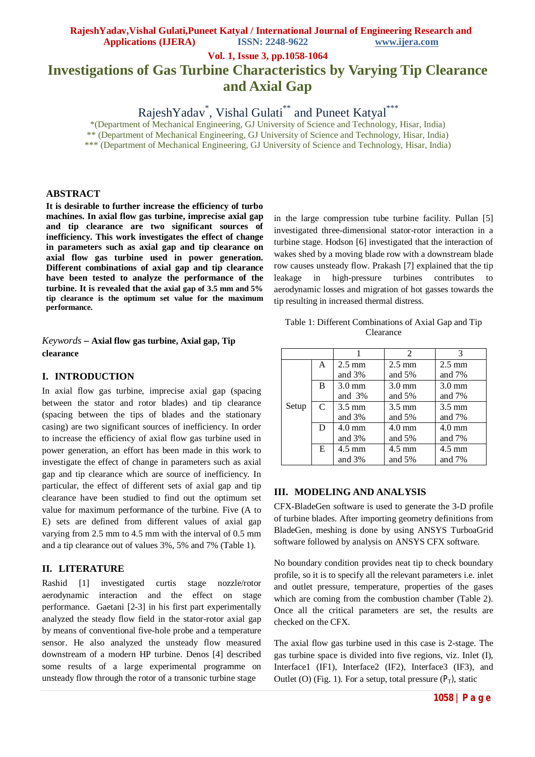**Vol. 1, Issue 3, pp.1058-1064**

# **Investigations of Gas Turbine Characteristics by Varying Tip Clearance and Axial Gap**

RajeshYadav<sup>\*</sup>, Vishal Gulati<sup>\*\*</sup> and Puneet Katyal<sup>\*\*\*</sup>

\*(Department of Mechanical Engineering, GJ University of Science and Technology, Hisar, India)

\*\* (Department of Mechanical Engineering, GJ University of Science and Technology, Hisar, India) \*\*\* (Department of Mechanical Engineering, GJ University of Science and Technology, Hisar, India)

### **ABSTRACT**

**It is desirable to further increase the efficiency of turbo machines. In axial flow gas turbine, imprecise axial gap and tip clearance are two significant sources of inefficiency. This work investigates the effect of change in parameters such as axial gap and tip clearance on axial flow gas turbine used in power generation. Different combinations of axial gap and tip clearance have been tested to analyze the performance of the turbine. It is revealed that the axial gap of 3.5 mm and 5% tip clearance is the optimum set value for the maximum performance.**

*Keywords* **– Axial flow gas turbine, Axial gap, Tip clearance**

#### **I. INTRODUCTION**

In axial flow gas turbine, imprecise axial gap (spacing between the stator and rotor blades) and tip clearance (spacing between the tips of blades and the stationary casing) are two significant sources of inefficiency. In order to increase the efficiency of axial flow gas turbine used in power generation, an effort has been made in this work to investigate the effect of change in parameters such as axial gap and tip clearance which are source of inefficiency. In particular, the effect of different sets of axial gap and tip clearance have been studied to find out the optimum set value for maximum performance of the turbine. Five (A to E) sets are defined from different values of axial gap varying from 2.5 mm to 4.5 mm with the interval of 0.5 mm and a tip clearance out of values 3%, 5% and 7% (Table 1).

## **II. LITERATURE**

Rashid [1] investigated curtis stage nozzle/rotor aerodynamic interaction and the effect on stage performance. Gaetani [2-3] in his first part experimentally analyzed the steady flow field in the stator-rotor axial gap by means of conventional five-hole probe and a temperature sensor. He also analyzed the unsteady flow measured downstream of a modern HP turbine. Denos [4] described some results of a large experimental programme on unsteady flow through the rotor of a transonic turbine stage

in the large compression tube turbine facility. Pullan [5] investigated three-dimensional stator-rotor interaction in a turbine stage. Hodson [6] investigated that the interaction of wakes shed by a moving blade row with a downstream blade row causes unsteady flow. Prakash [7] explained that the tip leakage in high-pressure turbines contributes to aerodynamic losses and migration of hot gasses towards the tip resulting in increased thermal distress.

| Table 1: Different Combinations of Axial Gap and Tip |
|------------------------------------------------------|
| <b>Clearance</b>                                     |

|       |               |                  | $\mathfrak{D}$   | 3                |
|-------|---------------|------------------|------------------|------------------|
|       | A             | $2.5 \text{ mm}$ | $2.5 \text{ mm}$ | $2.5 \text{ mm}$ |
|       |               | and $3%$         | and $5%$         | and 7%           |
|       | B             | $3.0 \text{ mm}$ | $3.0 \text{ mm}$ | $3.0 \text{ mm}$ |
|       |               | and $3%$         | and $5%$         | and $7%$         |
| Setup | $\mathcal{C}$ | $3.5 \text{ mm}$ | $3.5 \text{ mm}$ | $3.5 \text{ mm}$ |
|       |               | and $3%$         | and $5%$         | and $7%$         |
|       | D             | $4.0 \text{ mm}$ | $4.0 \text{ mm}$ | $4.0 \text{ mm}$ |
|       |               | and $3%$         | and $5%$         | and $7%$         |
|       | E             | $4.5 \text{ mm}$ | $4.5 \text{ mm}$ | $4.5 \text{ mm}$ |
|       |               | and $3%$         | and $5%$         | and $7%$         |

### **III. MODELING AND ANALYSIS**

CFX-BladeGen software is used to generate the 3-D profile of turbine blades. After importing geometry definitions from BladeGen, meshing is done by using ANSYS TurboaGrid software followed by analysis on ANSYS CFX software.

No boundary condition provides neat tip to check boundary profile, so it is to specify all the relevant parameters i.e. inlet and outlet pressure, temperature, properties of the gases which are coming from the combustion chamber (Table 2). Once all the critical parameters are set, the results are checked on the CFX.

The axial flow gas turbine used in this case is 2-stage. The gas turbine space is divided into five regions, viz. Inlet (I), Interface1 (IF1), Interface2 (IF2), Interface3 (IF3), and Outlet (O) (Fig. 1). For a setup, total pressure  $(P_T)$ , static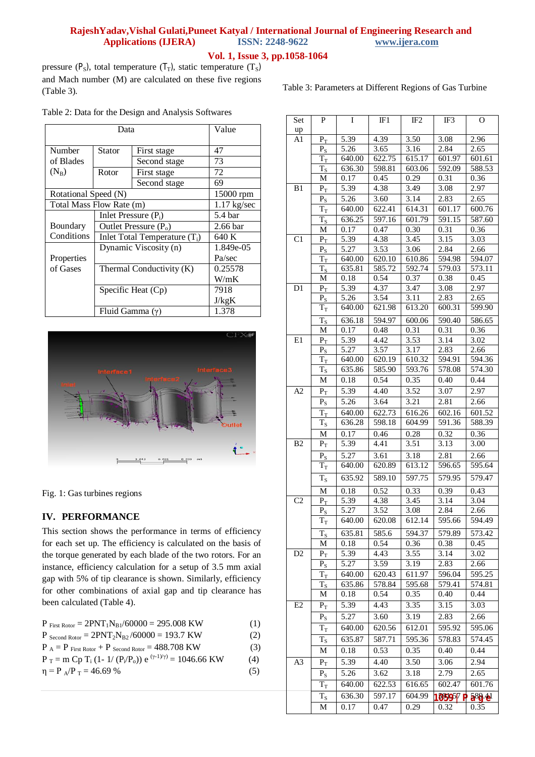## **Vol. 1, Issue 3, pp.1058-1064**

pressure ( $P_S$ ), total temperature ( $T_T$ ), static temperature ( $T_S$ ) and Mach number (M) are calculated on these five regions (Table 3).

Table 3: Parameters at Different Regions of Gas Turbine

Table 2: Data for the Design and Analysis Softwares

|                      | Value                    |                          |           |  |  |  |           |
|----------------------|--------------------------|--------------------------|-----------|--|--|--|-----------|
| Number               | Stator                   | 47                       |           |  |  |  |           |
| of Blades            |                          | Second stage             | 73        |  |  |  |           |
| $(N_B)$              | Rotor                    | First stage              | 72        |  |  |  |           |
|                      |                          | Second stage             | 69        |  |  |  |           |
| Rotational Speed (N) |                          |                          | 15000 rpm |  |  |  |           |
|                      | Total Mass Flow Rate (m) |                          |           |  |  |  |           |
|                      | Inlet Pressure $(P_i)$   | 5.4 bar                  |           |  |  |  |           |
| Boundary             | Outlet Pressure $(P_0)$  | 2.66 bar                 |           |  |  |  |           |
| Conditions           | 640 K                    |                          |           |  |  |  |           |
|                      | Dynamic Viscosity (n)    |                          |           |  |  |  | 1.849e-05 |
| Properties           |                          | Pa/sec                   |           |  |  |  |           |
| of Gases             |                          | Thermal Conductivity (K) |           |  |  |  |           |
|                      |                          | W/mK                     |           |  |  |  |           |
|                      | Specific Heat $(Cp)$     | 7918                     |           |  |  |  |           |
|                      |                          | J/kgK                    |           |  |  |  |           |
|                      | Fluid Gamma $(\gamma)$   | 1.378                    |           |  |  |  |           |



Fig. 1: Gas turbines regions

## **IV. PERFORMANCE**

This section shows the performance in terms of efficiency for each set up. The efficiency is calculated on the basis of the torque generated by each blade of the two rotors. For an instance, efficiency calculation for a setup of 3.5 mm axial gap with 5% of tip clearance is shown. Similarly, efficiency for other combinations of axial gap and tip clearance has been calculated (Table 4).

| $P_{First Rotor} = 2PNT_1N_{B1}/60000 = 295.008$ KW                               | (1) |
|-----------------------------------------------------------------------------------|-----|
| $P_{\text{Second Rotor}} = 2PNT_2N_{B2}/60000 = 193.7 \text{ KW}$                 | (2) |
| $P_A = P_{First Rotor} + P_{Second Rotor} = 488.708$ KW                           | (3) |
| $P_T = m Cp T_i (1 - 1/(P_i/P_o)) e^{((\gamma - 1)/\gamma)} = 1046.66 \text{ KW}$ | (4) |
| $\eta = P_A/P_T = 46.69$ %                                                        | (5) |

| Set            | P                             | Ι              | IF1            | IF <sub>2</sub> | IF3                  | O                 |
|----------------|-------------------------------|----------------|----------------|-----------------|----------------------|-------------------|
| up             |                               |                |                |                 |                      |                   |
| A1             | $P_T$                         | 5.39           | 4.39           | 3.50            | 3.08                 | 2.96              |
|                | $\mathbf{P}_\mathrm{S}$       | 5.26           | 3.65           | 3.16            | 2.84                 | 2.65              |
|                | $T_{\scriptscriptstyle\rm T}$ | 640.00         | 622.75         | 615.17          | 601.97               | 601.61            |
|                | $\rm T_S$                     | 636.30         | 598.81         | 603.06          | 592.09               | 588.53            |
|                | М                             | 0.17           | 0.45           | 0.29            | 0.31                 | 0.36              |
| B1             | $P_T$                         | 5.39           | 4.38           | 3.49            | 3.08                 | 2.97              |
|                | $\mathbf{P}_\mathrm{S}$       | 5.26           | 3.60           | 3.14            | 2.83                 | 2.65              |
|                | $T_{\rm T}$                   | 640.00         | 622.41         | 614.31          | 601.17               | 600.76            |
|                | $\rm T_S$                     | 636.25         | 597.16         | 601.79          | 591.15               | 587.60            |
|                | М                             | 0.17           | 0.47           | 0.30            | 0.31                 | 0.36              |
| C1             | $P_T$                         | 5.39           | 4.38           | 3.45            | 3.15                 | 3.03              |
|                | $\mathbf{P}_\mathrm{S}$       | 5.27           | 3.53           | 3.06            | 2.84                 | 2.66              |
|                | $T_T$                         | 640.00         | 620.10         | 610.86          | 594.98               | 594.07            |
|                | $T_{S}$                       | 635.81         | 585.72         | 592.74          | 579.03               | 573.11            |
|                | M                             | 0.18           | 0.54           | 0.37            | 0.38                 | 0.45              |
| D <sub>1</sub> | $P_T$                         | 5.39           | 4.37           | 3.47            | 3.08                 | 2.97              |
|                | $P_{S}$                       | 5.26           | 3.54           | 3.11            | 2.83                 | 2.65              |
|                | $\rm T_T$                     | 640.00         | 621.98         | 613.20          | 600.31               | 599.90            |
|                |                               |                |                |                 |                      |                   |
|                | $T_S$                         | 636.18         | 594.97         | 600.06          | 590.40               | 586.65            |
|                | M                             | 0.17           | 0.48           | 0.31            | 0.31                 | 0.36              |
| E1             | $P_T$                         | 5.39           | 4.42           | 3.53            | 3.14                 | 3.02              |
|                | $P_{S}$                       | 5.27           | 3.57           | 3.17            | 2.83                 | 2.66              |
|                | $T_T$                         | 640.00         | 620.19         | 610.32          | 594.91               | 594.36            |
|                | $\rm T_S$                     | 635.86         | 585.90         | 593.76          | 578.08               | 574.30            |
|                | M                             | 0.18           | 0.54           | 0.35            | 0.40                 | 0.44              |
| A2             | $P_T$                         | 5.39           | 4.40           | 3.52            | 3.07                 | 2.97              |
|                | $P_S$                         | 5.26           | 3.64           | 3.21            | 2.81                 | $\overline{2.66}$ |
|                | $T_T$                         | 640.00         | 622.73         | 616.26          | 602.16               | 601.52            |
|                | $\rm T_S$                     | 636.28         | 598.18         | 604.99          | 591.36               | 588.39            |
|                | M                             | 0.17           | 0.46           | 0.28            | 0.32                 | 0.36              |
| B <sub>2</sub> | $P_T$                         | 5.39           | 4.41           | 3.51            | 3.13                 | 3.00              |
|                |                               | 5.27           | 3.61           | 3.18            | 2.81                 | 2.66              |
|                | $P_{S}$                       | 640.00         | 620.89         | 613.12          | 596.65               | 595.64            |
|                | $T_{\scriptstyle\rm T}$       |                |                |                 |                      |                   |
|                | $T_S$                         | 635.92         | 589.10         | 597.75          | 579.95               | 579.47            |
|                | $\mathbf M$                   | 0.18           | 0.52           | 0.33            | 0.39                 | 0.43              |
| C2             | $P_T$                         | 5.39           | 4.38           | 3.45            | 3.14                 | 3.04              |
|                | $P_{S}$                       | 5.27           | 3.52           | 3.08            | 2.84                 | 2.66              |
|                | $\overline{T}_{\rm T}$        | 640.00         | 620.08         | 612.14          | 595.66               | 594.49            |
|                | $T_{\rm S}$                   | 635.81         | 585.6          | 594.37          | 579.89               | 573.42            |
|                | М                             | 0.18           | 0.54           | 0.36            | 0.38                 | 0.45              |
| D <sub>2</sub> | $P_T$                         | 5.39           | 4.43           | 3.55            | 3.14                 | 3.02              |
|                | $\mathbf{P}_\mathrm{S}$       | 5.27           | 3.59           | 3.19            | 2.83                 | 2.66              |
|                |                               |                |                | 611.97          |                      |                   |
|                | $T_T$                         | 640.00         | 620.43         |                 | 596.04<br>579.41     | 595.25            |
|                | $T_{\rm S}$<br>М              | 635.86<br>0.18 | 578.84<br>0.54 | 595.68<br>0.35  | 0.40                 | 574.81<br>0.44    |
|                |                               |                |                |                 |                      |                   |
| E2             | $P_T$                         | 5.39           | 4.43           | 3.35            | 3.15                 | 3.03              |
|                | $P_{S}$                       | 5.27           | 3.60           | 3.19            | 2.83                 | 2.66              |
|                | $T_T$                         | 640.00         | 620.56         | 612.01          | 595.92               | 595.06            |
|                | $T_S$                         | 635.87         | 587.71         | 595.36          | 578.83               | 574.45            |
|                | М                             | 0.18           | 0.53           | 0.35            | 0.40                 | 0.44              |
| A <sub>3</sub> | $P_T$                         | 5.39           | 4.40           | 3.50            | 3.06                 | 2.94              |
|                |                               |                |                |                 | 2.79                 |                   |
|                | $P_{S}$                       | 5.26           | 3.62           | 3.18            |                      | 2.65              |
|                | $T_T$                         | 640.00         | 622.53         | 616.65          | 602.47               | 601.76            |
|                | $T_{S}$                       | 636.30         | 597.17         | 604.99          | 1059 <sup>5</sup> /P | 588.41            |
|                | М                             | 0.17           | 0.47           | 0.29            | 0.32                 | 0.35              |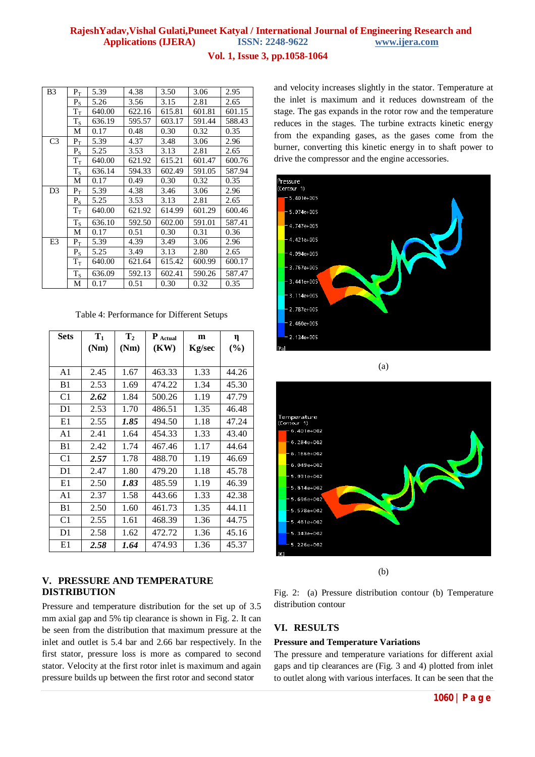## **Vol. 1, Issue 3, pp.1058-1064**

| B <sub>3</sub> | $P_T$                          | 5.39   | 4.38   | 3.50   | 3.06   | 2.95   |
|----------------|--------------------------------|--------|--------|--------|--------|--------|
|                | $P_{S}$                        | 5.26   | 3.56   | 3.15   | 2.81   | 2.65   |
|                | $\rm T_T$                      | 640.00 | 622.16 | 615.81 | 601.81 | 601.15 |
|                | $T_S$                          | 636.19 | 595.57 | 603.17 | 591.44 | 588.43 |
|                | М                              | 0.17   | 0.48   | 0.30   | 0.32   | 0.35   |
| C <sub>3</sub> | $P_{\rm T}$                    | 5.39   | 4.37   | 3.48   | 3.06   | 2.96   |
|                | $P_{S}$                        | 5.25   | 3.53   | 3.13   | 2.81   | 2.65   |
|                | $\rm T_{T}$                    | 640.00 | 621.92 | 615.21 | 601.47 | 600.76 |
|                | $T_S$                          | 636.14 | 594.33 | 602.49 | 591.05 | 587.94 |
|                | М                              | 0.17   | 0.49   | 0.30   | 0.32   | 0.35   |
| D <sub>3</sub> | $P_{\rm T}$                    | 5.39   | 4.38   | 3.46   | 3.06   | 2.96   |
|                | $\mathbf{P}_\mathrm{S}$        | 5.25   | 3.53   | 3.13   | 2.81   | 2.65   |
|                | $T_{\scriptscriptstyle\rm T}$  | 640.00 | 621.92 | 614.99 | 601.29 | 600.46 |
|                | $T_S$                          | 636.10 | 592.50 | 602.00 | 591.01 | 587.41 |
|                | М                              | 0.17   | 0.51   | 0.30   | 0.31   | 0.36   |
| E3             | $P_T$                          | 5.39   | 4.39   | 3.49   | 3.06   | 2.96   |
|                | $\mathbf{P}_\mathrm{S}$        | 5.25   | 3.49   | 3.13   | 2.80   | 2.65   |
|                | $\rm T_{\scriptscriptstyle T}$ | 640.00 | 621.64 | 615.42 | 600.99 | 600.17 |
|                | $T_S$                          | 636.09 | 592.13 | 602.41 | 590.26 | 587.47 |
|                | М                              | 0.17   | 0.51   | 0.30   | 0.32   | 0.35   |

Table 4: Performance for Different Setups

| <b>Sets</b>    | $T_1$ | $\mathbf{T}_2$ | P Actual | m      | η     |
|----------------|-------|----------------|----------|--------|-------|
|                | (Nm)  | (Nm)           | (KW)     | Kg/sec | (%)   |
|                |       |                |          |        |       |
| A <sub>1</sub> | 2.45  | 1.67           | 463.33   | 1.33   | 44.26 |
| B <sub>1</sub> | 2.53  | 1.69           | 474.22   | 1.34   | 45.30 |
| C <sub>1</sub> | 2.62  | 1.84           | 500.26   | 1.19   | 47.79 |
| D <sub>1</sub> | 2.53  | 1.70           | 486.51   | 1.35   | 46.48 |
| E1             | 2.55  | 1.85           | 494.50   | 1.18   | 47.24 |
| A1             | 2.41  | 1.64           | 454.33   | 1.33   | 43.40 |
| B1             | 2.42  | 1.74           | 467.46   | 1.17   | 44.64 |
| C <sub>1</sub> | 2.57  | 1.78           | 488.70   | 1.19   | 46.69 |
| D1             | 2.47  | 1.80           | 479.20   | 1.18   | 45.78 |
| E1             | 2.50  | 1.83           | 485.59   | 1.19   | 46.39 |
| A <sub>1</sub> | 2.37  | 1.58           | 443.66   | 1.33   | 42.38 |
| B <sub>1</sub> | 2.50  | 1.60           | 461.73   | 1.35   | 44.11 |
| C <sub>1</sub> | 2.55  | 1.61           | 468.39   | 1.36   | 44.75 |
| D1             | 2.58  | 1.62           | 472.72   | 1.36   | 45.16 |
| E1             | 2.58  | 1.64           | 474.93   | 1.36   | 45.37 |

## **V. PRESSURE AND TEMPERATURE DISTRIBUTION**

Pressure and temperature distribution for the set up of 3.5 mm axial gap and 5% tip clearance is shown in Fig. 2. It can be seen from the distribution that maximum pressure at the inlet and outlet is 5.4 bar and 2.66 bar respectively. In the first stator, pressure loss is more as compared to second stator. Velocity at the first rotor inlet is maximum and again pressure builds up between the first rotor and second stator

and velocity increases slightly in the stator. Temperature at the inlet is maximum and it reduces downstream of the stage. The gas expands in the rotor row and the temperature reduces in the stages. The turbine extracts kinetic energy from the expanding gases, as the gases come from the burner, converting this kinetic energy in to shaft power to drive the compressor and the engine accessories.



(a)



(b)

Fig. 2: (a) Pressure distribution contour (b) Temperature distribution contour

## **VI. RESULTS**

## **Pressure and Temperature Variations**

The pressure and temperature variations for different axial gaps and tip clearances are (Fig. 3 and 4) plotted from inlet to outlet along with various interfaces. It can be seen that the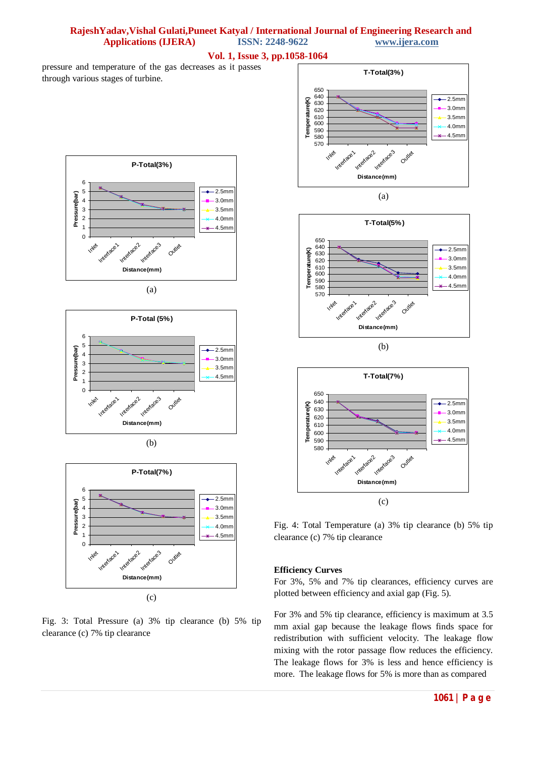#### **Vol. 1, Issue 3, pp.1058-1064**

pressure and temperature of the gas decreases as it passes through various stages of turbine.



(a)









(c)

Fig. 3: Total Pressure (a) 3% tip clearance (b) 5% tip clearance (c) 7% tip clearance



(b)



Fig. 4: Total Temperature (a) 3% tip clearance (b) 5% tip clearance (c) 7% tip clearance

#### **Efficiency Curves**

For 3%, 5% and 7% tip clearances, efficiency curves are plotted between efficiency and axial gap (Fig. 5).

For 3% and 5% tip clearance, efficiency is maximum at 3.5 mm axial gap because the leakage flows finds space for redistribution with sufficient velocity. The leakage flow mixing with the rotor passage flow reduces the efficiency. The leakage flows for 3% is less and hence efficiency is more. The leakage flows for 5% is more than as compared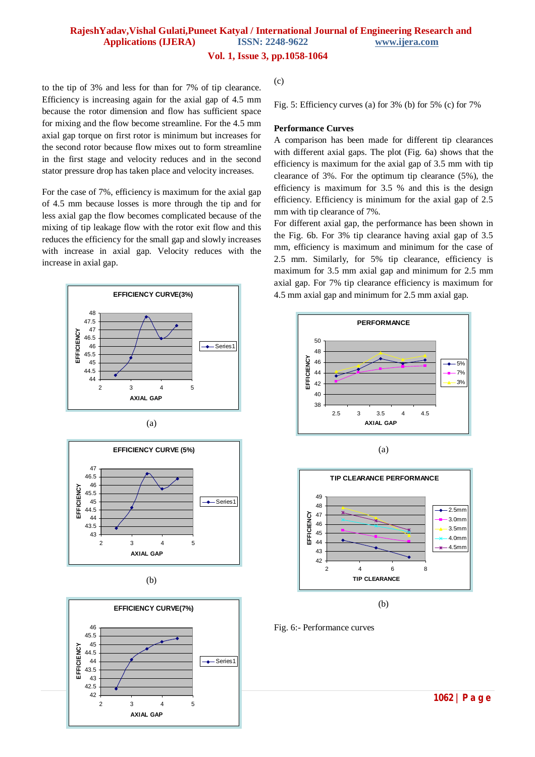#### **Vol. 1, Issue 3, pp.1058-1064**

to the tip of 3% and less for than for 7% of tip clearance. Efficiency is increasing again for the axial gap of 4.5 mm because the rotor dimension and flow has sufficient space for mixing and the flow become streamline. For the 4.5 mm axial gap torque on first rotor is minimum but increases for the second rotor because flow mixes out to form streamline in the first stage and velocity reduces and in the second stator pressure drop has taken place and velocity increases.

For the case of 7%, efficiency is maximum for the axial gap of 4.5 mm because losses is more through the tip and for less axial gap the flow becomes complicated because of the mixing of tip leakage flow with the rotor exit flow and this reduces the efficiency for the small gap and slowly increases with increase in axial gap. Velocity reduces with the increase in axial gap.









(c)

Fig. 5: Efficiency curves (a) for 3% (b) for 5% (c) for 7%

#### **Performance Curves**

A comparison has been made for different tip clearances with different axial gaps. The plot (Fig. 6a) shows that the efficiency is maximum for the axial gap of 3.5 mm with tip clearance of 3%. For the optimum tip clearance (5%), the efficiency is maximum for 3.5 % and this is the design efficiency. Efficiency is minimum for the axial gap of 2.5 mm with tip clearance of 7%.

For different axial gap, the performance has been shown in the Fig. 6b. For 3% tip clearance having axial gap of 3.5 mm, efficiency is maximum and minimum for the case of 2.5 mm. Similarly, for 5% tip clearance, efficiency is maximum for 3.5 mm axial gap and minimum for 2.5 mm axial gap. For 7% tip clearance efficiency is maximum for 4.5 mm axial gap and minimum for 2.5 mm axial gap.







(b)

Fig. 6:- Performance curves